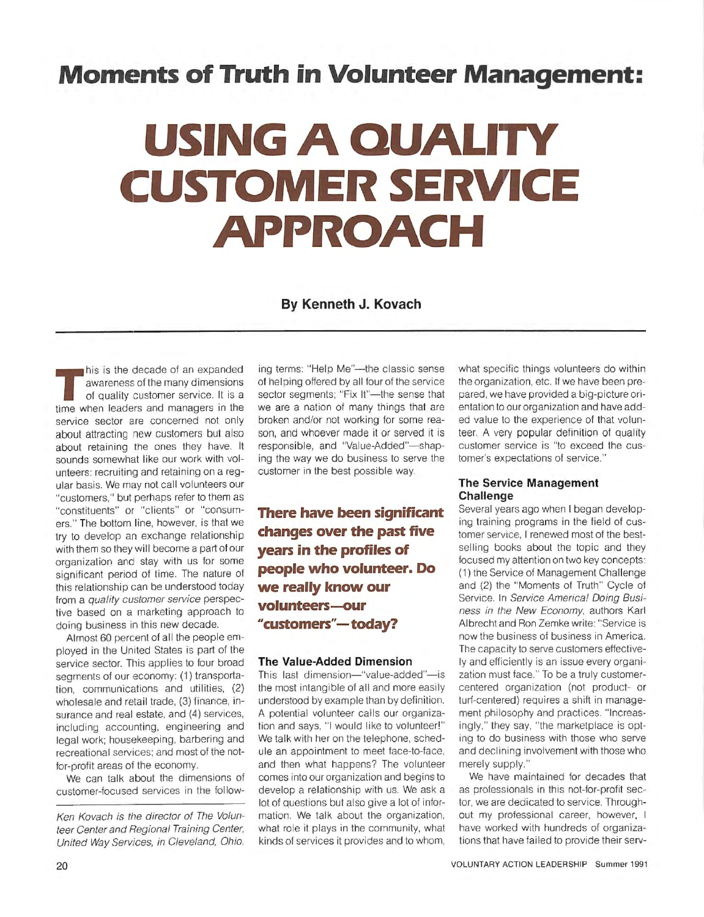# **Moments of Truth in Volunteer Management:**

# **USING A QUALITY CUSTOMER SERVICE APPROACH**

**By Kenneth J. Kovach** 

This is the decade of an expanded<br>awareness of the many dimensions<br>of quality customer service. It is a<br>time when leaders and managers in the awareness of the many dimensions of quality customer service. It is a time when leaders and managers in the service sector are concerned not only about attracting new customers but also about retaining the ones they have. It sounds somewhat like our work with volunteers: recruiting and retaining on a regular basis. We may not call volunteers our "customers," but perhaps refer to them as "constituents" or "clients" or "consumers." The bottom line, however, is that we try to develop an exchange relationship with them so they will become a part of our organization and stay with us for some significant period of time. The nature of this relationship can be understood today from a quality customer service perspective based on a marketing approach to doing business in this new decade.

Almost 60 percent of all the people employed in the United States is part of the service sector. This applies to four broad segments of our economy: (1) transportation, communications and utilities, (2) wholesale and retail trade, (3) finance, insurance and real estate, and (4) services, including accounting, engineering and legal work; housekeeping, barbering and recreational services; and most of the notfor-profit areas of the economy.

We can talk about the dimensions of customer-focused services in the follow-

Ken Kovach is the director of The Volunteer Center and Regional Training Center, United Way Services, in Cleveland, Ohio.

ing terms: "Help Me"-the classic sense of helping offered by all four of the service sector segments; "Fix It"-the sense that we are a nation of many things that are broken and/or not working for some reason, and whoever made it or served it is responsible, and "Value-Added"-shaping the way we do business to serve the customer in the best possible way.

**There have been significant changes over the past five years in the profiles of people who volunteer. Do we really know our volunteers-our "customers"-today?** 

#### **The Value-Added Dimension**

This last dimension-"value-added"-is the most intangible of all and more easily understood by example than by definition. A potential volunteer calls our organization and says, "I would like to volunteer!" We talk with her on the telephone, schedule an appointment to meet face-to-face, and then what happens? The volunteer comes into our organization and begins to develop a relationship with us. We ask a lot of questions but also give a lot of information. We talk about the organization, what role it plays in the community, what kinds of services it provides and to whom, what specific things volunteers do within the organization, etc. If we have been prepared, we have provided a big-picture orientation to our organization and have added value to the experience of that volunteer. A very popular definition of quality customer service is "to exceed the customer's expectations of service."

#### **The Service Management Challenge**

Several years ago when I began developing training programs in the field of customer service, I renewed most of the bestselling books about the topic and they focused my attention on two key concepts: (1) the Service of Management Challenge and (2) the "Moments of Truth" Cycle of Service. In Service America! Doing Business in the New Economy, authors Karl Albrecht and Ron Zemke write: "Service is now the business of business in America. The capacity to serve customers effectively and efficiently is an issue every organization must face." To be a truly customercentered organization (not product- or turf-centered) requires a shift in management philosophy and practices. "Increasingly," they say, "the marketplace is opting to do business with those who serve and declining involvement with those who merely supply."

We have maintained for decades that as professionals in this not-for-profit sector, we are dedicated to service. Throughout my professional career, however, I have worked with hundreds of organizations that have failed to provide their serv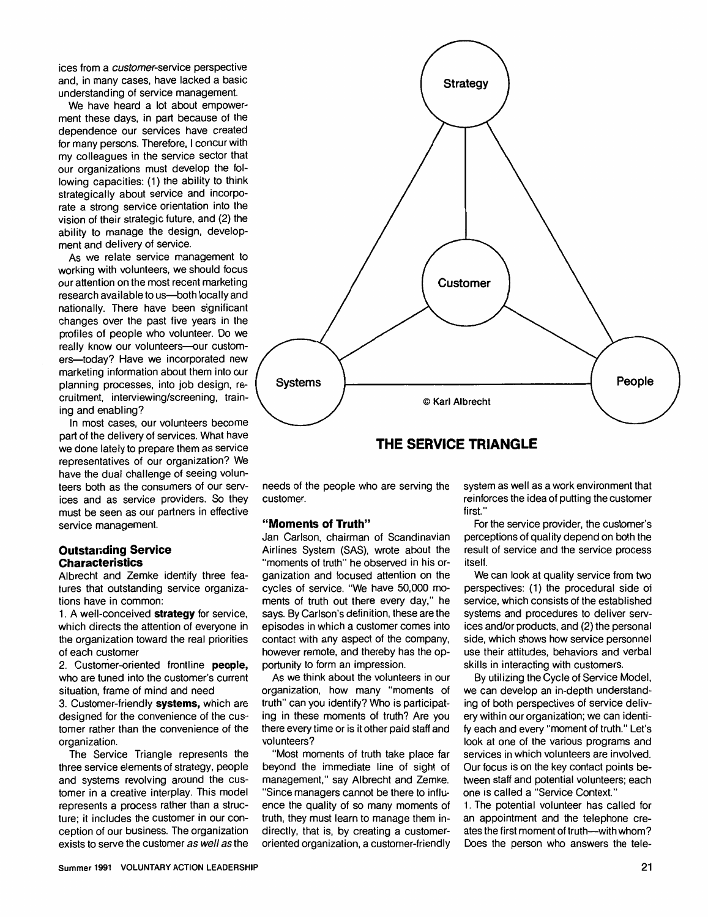ices from a customer-service perspective and, in many cases, have lacked a basic understanding of service management.

We have heard a lot about empowerment these days, in part because of the dependence our services have created for many persons. Therefore, I concur with my colleagues in the service sector that our organizations must develop the following capacities: (1) the ability to think strategically about service and incorporate a strong service orientation into the vision of their strategic future, and (2) the ability to manage the design, development and delivery of service.

As we relate service management to working with volunteers, we should focus our attention on the most recent marketing research available to us-both locally and nationally. There have been significant changes over the past five years in the profiles of people who volunteer. Do we really know our volunteers-our customers-today? Have we incorporated new marketing information about them into our planning processes, into job design, recruitment, interviewing/screening, training and enabling?

In most cases, our volunteers become part of the delivery of services. What have we done lately to prepare them as service representatives of our organization? We have the dual challenge of seeing volunteers both as the consumers of our services and as service providers. So they must be seen as our partners in effective service management.

#### **Outstanding Service Characteristics**

Albrecht and Zemke identify three features that outstanding service organizations have in common:

1. A well-conceived **strategy** for service, which directs the attention of everyone in the organization toward the real priorities of each customer

2. Customer-oriented frontline **people,**  who are tuned into the customer's current situation, frame of mind and need

3. Customer-friendly **systems,** which are designed for the convenience of the customer rather than the convenience of the organization.

The Service Triangle represents the three service elements of strategy, people and systems revolving around the customer in a creative interplay. This model represents a process rather than a structure; it includes the customer in our conception of our business. The organization exists to serve the customer as well as the



needs of the people who are serving the customer.

#### **"Moments of Truth"**

Jan Carlson, chairman of Scandinavian Airlines System (SAS), wrote about the "moments of truth" he observed in his organization and focused attention on the cycles of service. "We have 50,000 moments of truth out there every day," he says. By Carlson's definition, these are the episodes in which a customer comes into contact with any aspect of the company, however remote, and thereby has the opportunity to form an impression.

As we think about the volunteers in our organization, how many "moments of truth" can you identify? Who is participating in these moments of truth? Are you there every time or is it other paid staff and volunteers?

"Most moments of truth take place far beyond the immediate line of sight of management," say Albrecht and Zemke. "Since managers cannot be there to influence the quality of so many moments of truth, they must learn to manage them indirectly, that is, by creating a customeroriented organization, a customer-friendly system as well as a work environment that reinforces the idea of putting the customer first."

For the service provider, the customer's perceptions of quality depend on both the result of service and the service process itself.

We can look at quality service from two perspectives: (1) the procedural side of service, which consists of the established systems and procedures to deliver services and/or products, and (2) the personal side, which shows how service personnel use their attitudes, behaviors and verbal skills in interacting with customers.

By utilizing the Cycle of Service Model, we can develop an in-depth understanding of both perspectives of service delivery within our organization; we can identify each and every "moment of truth." Let's look at one of the various programs and services in which volunteers are involved. Our focus is on the key contact points between staff and potential volunteers; each one is called a "Service Context."

1. The potential volunteer has called for an appointment and the telephone creates the first moment of truth--with whom? Does the person who answers the tele-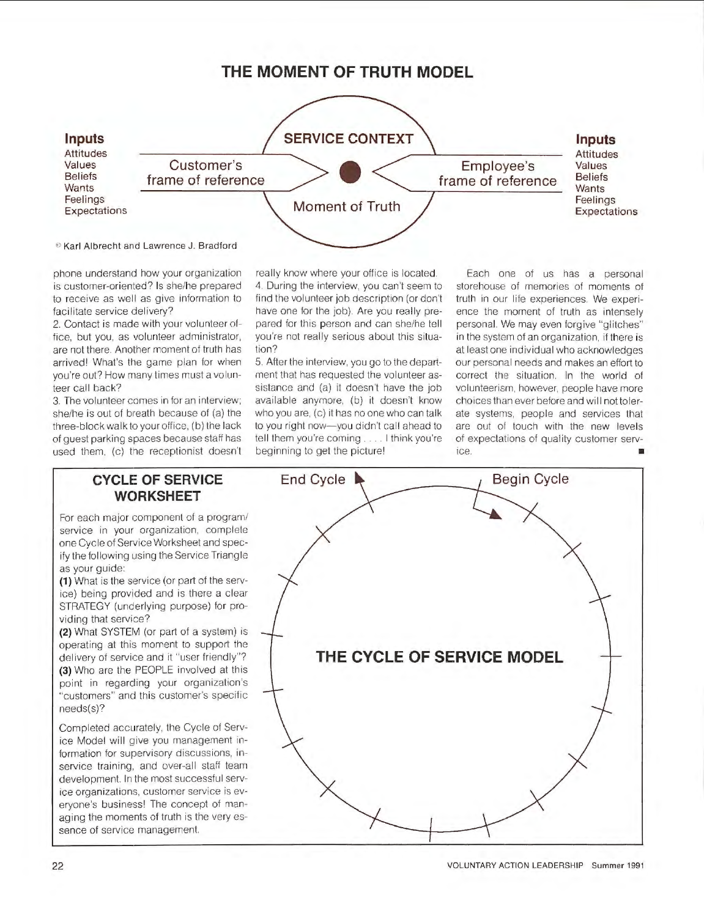### **THE MOMENT OF TRUTH MODEL**



<sup>®</sup> Karl Albrecht and Lawrence J. Bradford

phone understand how your organization is customer-oriented? Is she/he prepared to receive as well as give information to facilitate service delivery?

2. Contact is made with your volunteer office, but you, as volunteer administrator, are not there. Another moment of truth has arrived! What's the game plan for when you're out? How many times must a volunteer call back?

3. The volunteer comes in for an interview; she/he is out of breath because of (a) the three-block walk to your office, (b) the lack of guest parking spaces because staff has used them, (c) the receptionist doesn't

really know where your office is located. 4. During the interview, you can't seem to find the volunteer job description (or don't have one for the job). Are you really prepared for this person and can she/he tell you're not really serious about this situation?

5. After the interview, you go to the department that has requested the volunteer assistance and (a) it doesn't have the job available anymore, (b) it doesn't know who you are, (c) it has no one who can talk to you right now-you didn't call ahead to tell them you're coming .... I think you're beginning to get the picture!

Each one of us has a personal storehouse of memories of moments of truth in our life experiences. We experience the moment of truth as intensely personal. We may even forgive "glitches" in the system of an organization, if there is at least one individual who acknowledges our personal needs and makes an effort to correct the situation. In the world of volunteerism, however, people have more choices than ever before and will not tolerate systems, people and services that are out of touch with the new levels of expectations of quality customer service. ■

#### **CYCLE OF SERVICE WORKSHEET**

For each major component of a program/ service in your organization, complete one Cycle of Service Worksheet and specify the following using the Service Triangle as your guide:

**(1)** What is the service (or part of the service) being provided and is there a clear STRATEGY (underlying purpose) for providing that service?

**(2)** What SYSTEM (or part of a system) is operating at this moment to support the delivery of service and it "user friendly"? **(3)** Who are the PEOPLE involved at this point in regarding your organization's "customers" and this customer's specific needs(s)?

Completed accurately, the Cycle of Service Model will give you management information for supervisory discussions, inservice training, and over-all staff team development. In the most successful service organizations, customer service is everyone's business! The concept of managing the moments of truth is the very essence of service management.

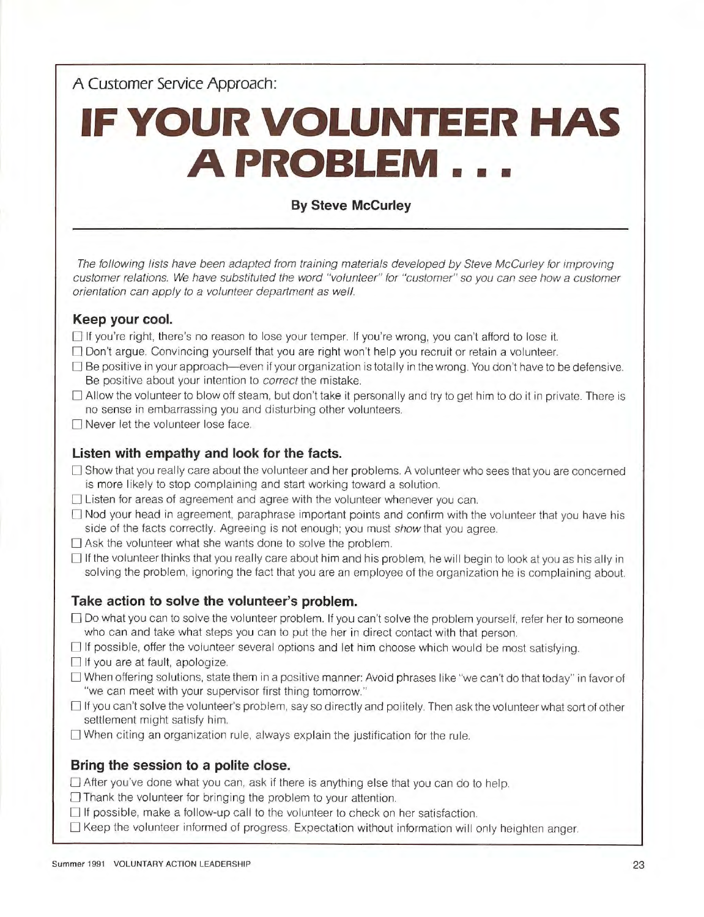**A Customer Service Approach:** 

# **IF YOUR VOLUNTEER HAS A PROBLEM** ...

#### **By Steve Mccurley**

The following lists have been adapted from training materials developed by Steve McCurley for improving customer relations. We have substituted the word "volunteer" for "customer" so you can see how a customer orientation can apply to a volunteer department as well.

#### **Keep your cool.**

- $\Box$  If you're right, there's no reason to lose your temper. If you're wrong, you can't afford to lose it.
- $\Box$  Don't argue. Convincing yourself that you are right won't help you recruit or retain a volunteer.
- $\Box$  Be positive in your approach—even if your organization is totally in the wrong. You don't have to be defensive. Be positive about your intention to correct the mistake.
- $\Box$  Allow the volunteer to blow off steam, but don't take it personally and try to get him to do it in private. There is no sense in embarrassing you and disturbing other volunteers.
- $\Box$  Never let the volunteer lose face.

#### **Listen with empathy and look for the facts.**

- $\Box$  Show that you really care about the volunteer and her problems. A volunteer who sees that you are concerned is more likely to stop complaining and start working toward a solution.
- $\Box$  Listen for areas of agreement and agree with the volunteer whenever you can.
- $\Box$  Nod your head in agreement, paraphrase important points and confirm with the volunteer that you have his side of the facts correctly. Agreeing is not enough; you must show that you agree.
- $\Box$  Ask the volunteer what she wants done to solve the problem.
- $\Box$  If the volunteer thinks that you really care about him and his problem, he will begin to look at you as his ally in solving the problem, ignoring the fact that you are an employee of the organization he is complaining about.

#### **Take action to solve the volunteer's problem.**

- D Do what you can to solve the volunteer problem. If you can't solve the problem yourself, refer her to someone who can and take what steps you can to put the her in direct contact with that person.
- $\Box$  If possible, offer the volunteer several options and let him choose which would be most satisfying.
- $\Box$  If you are at fault, apologize.
- O When offering solutions, state them in a positive manner: Avoid phrases like "we can't do that today" in favor of "we can meet with your supervisor first thing tomorrow."
- □ If you can't solve the volunteer's problem, say so directly and politely. Then ask the volunteer what sort of other settlement might satisfy him.
- $\Box$  When citing an organization rule, always explain the justification for the rule.

#### **Bring the session to a polite close.**

 $\Box$  After you've done what you can, ask if there is anything else that you can do to help.

- $\Box$  Thank the volunteer for bringing the problem to your attention.
- $\Box$  If possible, make a follow-up call to the volunteer to check on her satisfaction.
- $\Box$  Keep the volunteer informed of progress. Expectation without information will only heighten anger.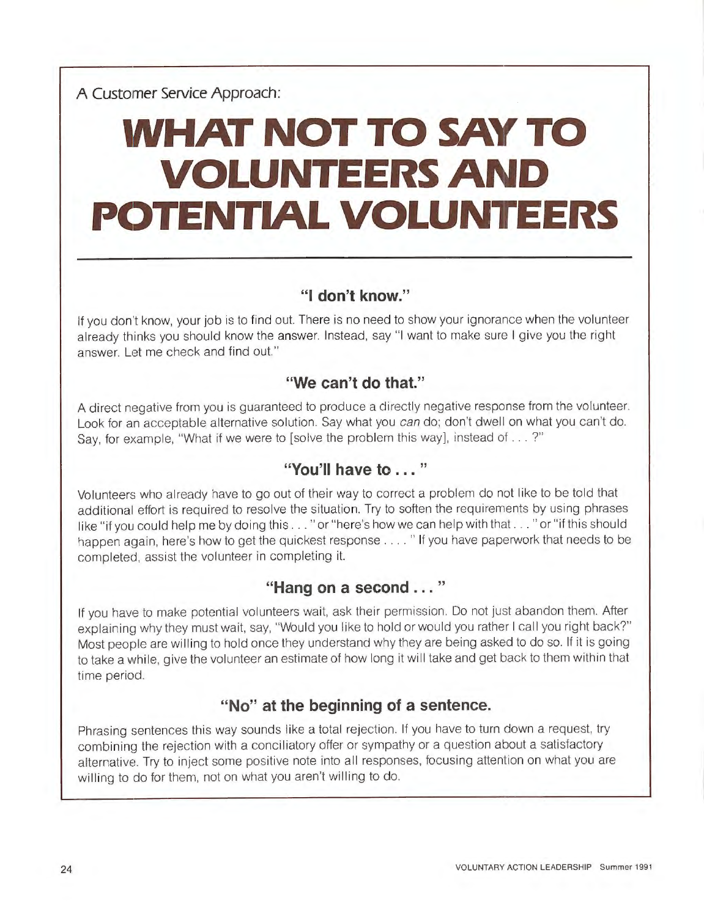# **WHAT NOT TO SAY TO VOLUNTEERS AND POTENTIAL VOLUNTEERS**

## **"I don't know."**

If you don't know, your job is to find out. There is no need to show your ignorance when the volunteer already thinks you should know the answer. Instead, say "I want to make sure I give you the right answer. Let me check and find out."

### **"We can't do that."**

A direct negative from you is guaranteed to produce a directly negative response from the volunteer. Look for an acceptable alternative solution. Say what you can do; don't dwell on what you can't do. Say, for example, "What if we were to [solve the problem this way], instead of ... ?"

# **"You'll have to** ... "

Volunteers who already have to go out of their way to correct a problem do not like to be told that additional effort is required to resolve the situation. Try to soften the requirements by using phrases like "if you could help me by doing this ... "or "here's how we can help with that ... "or "if this should happen again, here's how to get the quickest response .... " If you have paperwork that needs to be completed, assist the volunteer in completing it.

### **"Hang on a second** ... "

If you have to make potential volunteers wait, ask their permission. Do not just abandon them. After explaining why they must wait, say, "Would you like to hold or would you rather I call you right back?" Most people are willing to hold once they understand why they are being asked to do so. If it is going to take a while, give the volunteer an estimate of how long it will take and get back to them within that time period.

### **"No" at the beginning of a sentence.**

Phrasing sentences this way sounds like a total rejection. If you have to turn down a request, try combining the rejection with a conciliatory offer or sympathy or a question about a satisfactory alternative. Try to inject some positive note into all responses, focusing attention on what you are willing to do for them, not on what you aren't willing to do.